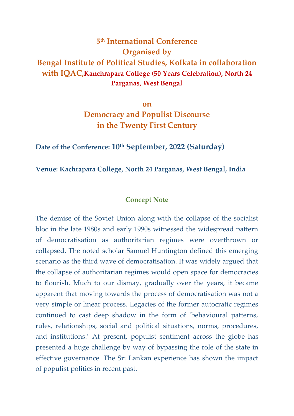# **5 th International Conference Organised by Bengal Institute of Political Studies, Kolkata in collaboration with IQAC,Kanchrapara College (50 Years Celebration), North 24 Parganas, West Bengal**

**on Democracy and Populist Discourse in the Twenty First Century**

## **Date of the Conference: 10th September, 2022 (Saturday)**

#### **Venue: Kachrapara College, North 24 Parganas, West Bengal, India**

#### **Concept Note**

The demise of the Soviet Union along with the collapse of the socialist bloc in the late 1980s and early 1990s witnessed the widespread pattern of democratisation as authoritarian regimes were overthrown or collapsed. The noted scholar Samuel Huntington defined this emerging scenario as the third wave of democratisation. It was widely argued that the collapse of authoritarian regimes would open space for democracies to flourish. Much to our dismay, gradually over the years, it became apparent that moving towards the process of democratisation was not a very simple or linear process. Legacies of the former autocratic regimes continued to cast deep shadow in the form of 'behavioural patterns, rules, relationships, social and political situations, norms, procedures, and institutions.' At present, populist sentiment across the globe has presented a huge challenge by way of bypassing the role of the state in effective governance. The Sri Lankan experience has shown the impact of populist politics in recent past.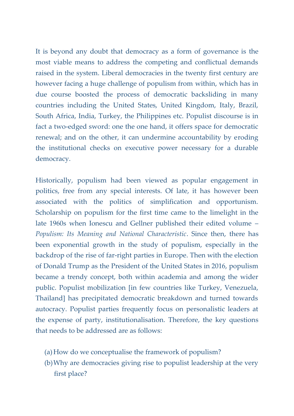It is beyond any doubt that democracy as a form of governance is the most viable means to address the competing and conflictual demands raised in the system. Liberal democracies in the twenty first century are however facing a huge challenge of populism from within, which has in due course boosted the process of democratic backsliding in many countries including the United States, United Kingdom, Italy, Brazil, South Africa, India, Turkey, the Philippines etc. Populist discourse is in fact a two-edged sword: one the one hand, it offers space for democratic renewal; and on the other, it can undermine accountability by eroding the institutional checks on executive power necessary for a durable democracy.

Historically, populism had been viewed as popular engagement in politics, free from any special interests. Of late, it has however been associated with the politics of simplification and opportunism. Scholarship on populism for the first time came to the limelight in the late 1960s when Ionescu and Gellner published their edited volume – *Populism: Its Meaning and National Characteristic*. Since then, there has been exponential growth in the study of populism, especially in the backdrop of the rise of far-right parties in Europe. Then with the election of Donald Trump as the President of the United States in 2016, populism became a trendy concept, both within academia and among the wider public. Populist mobilization [in few countries like Turkey, Venezuela, Thailand] has precipitated democratic breakdown and turned towards autocracy. Populist parties frequently focus on personalistic leaders at the expense of party, institutionalisation. Therefore, the key questions that needs to be addressed are as follows:

- (a)How do we conceptualise the framework of populism?
- (b)Why are democracies giving rise to populist leadership at the very first place?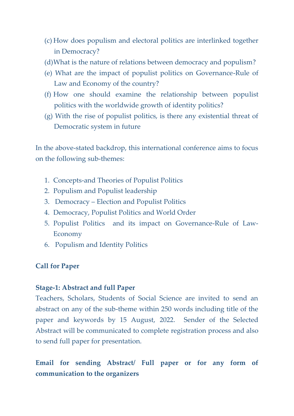- (c) How does populism and electoral politics are interlinked together in Democracy?
- (d)What is the nature of relations between democracy and populism?
- (e) What are the impact of populist politics on Governance-Rule of Law and Economy of the country?
- (f) How one should examine the relationship between populist politics with the worldwide growth of identity politics?
- (g) With the rise of populist politics, is there any existential threat of Democratic system in future

In the above-stated backdrop, this international conference aims to focus on the following sub-themes:

- 1. Concepts-and Theories of Populist Politics
- 2. Populism and Populist leadership
- 3. Democracy Election and Populist Politics
- 4. Democracy, Populist Politics and World Order
- 5. Populist Politics and its impact on Governance-Rule of Law-Economy
- 6. Populism and Identity Politics

## **Call for Paper**

#### **Stage-1: Abstract and full Paper**

Teachers, Scholars, Students of Social Science are invited to send an abstract on any of the sub-theme within 250 words including title of the paper and keywords by 15 August, 2022. Sender of the Selected Abstract will be communicated to complete registration process and also to send full paper for presentation.

**Email for sending Abstract/ Full paper or for any form of communication to the organizers**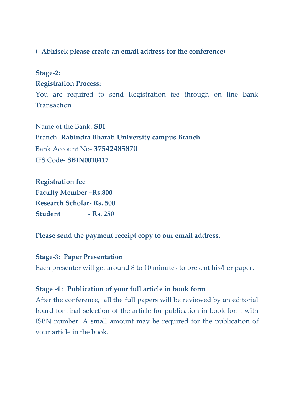## **( Abhisek please create an email address for the conference)**

## **Stage-2:**

#### **Registration Process:**

You are required to send Registration fee through on line Bank **Transaction** 

Name of the Bank: **SBI** Branch- **Rabindra Bharati University campus Branch** Bank Account No- **37542485870** IFS Code- **SBIN0010417**

**Registration fee Faculty Member –Rs.800 Research Scholar- Rs. 500 Student - Rs. 250** 

**Please send the payment receipt copy to our email address.**

### **Stage-3: Paper Presentation**

Each presenter will get around 8 to 10 minutes to present his/her paper.

## **Stage -4** : **Publication of your full article in book form**

After the conference, all the full papers will be reviewed by an editorial board for final selection of the article for publication in book form with ISBN number. A small amount may be required for the publication of your article in the book.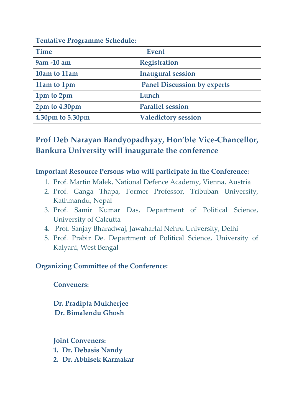**Tentative Programme Schedule:**

| <b>Time</b>      | <b>Event</b>                       |
|------------------|------------------------------------|
| 9am -10 am       | <b>Registration</b>                |
| 10am to 11am     | <b>Inaugural session</b>           |
| 11am to 1pm      | <b>Panel Discussion by experts</b> |
| 1pm to 2pm       | Lunch                              |
| 2pm to 4.30pm    | <b>Parallel session</b>            |
| 4.30pm to 5.30pm | <b>Valedictory session</b>         |

# **Prof Deb Narayan Bandyopadhyay, Hon'ble Vice-Chancellor, Bankura University will inaugurate the conference**

## **Important Resource Persons who will participate in the Conference:**

- 1. Prof. Martin Malek, National Defence Academy, Vienna, Austria
- 2. Prof. Ganga Thapa, Former Professor, Tribuban University, Kathmandu, Nepal
- 3. Prof. Samir Kumar Das, Department of Political Science, University of Calcutta
- 4. Prof. Sanjay Bharadwaj, Jawaharlal Nehru University, Delhi
- 5. Prof. Prabir De. Department of Political Science, University of Kalyani, West Bengal

# **Organizing Committee of the Conference:**

**Conveners:**

**Dr. Pradipta Mukherjee Dr. Bimalendu Ghosh**

**Joint Conveners: 1. Dr. Debasis Nandy 2. Dr. Abhisek Karmakar**